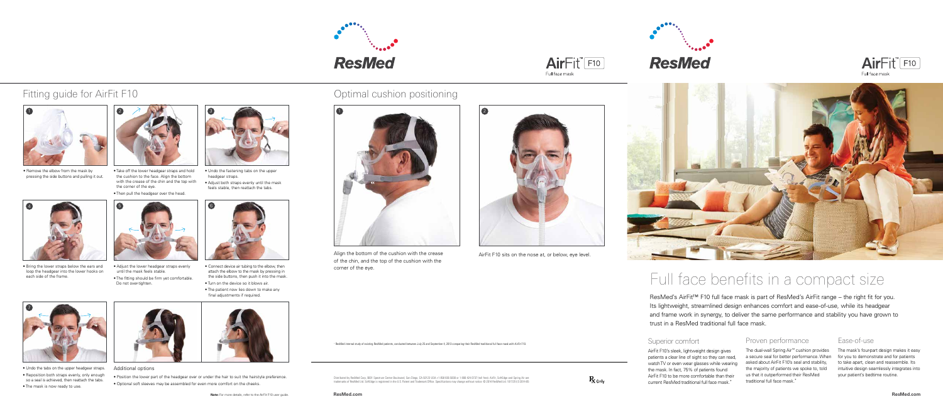## Full face benefits in a compact size

ResMed's AirFit<sup>™</sup> F10 full face mask is part of ResMed's AirFit range – the right fit for you. Its lightweight, streamlined design enhances comfort and ease-of-use, while its headgear and frame work in synergy, to deliver the same performance and stability you have grown to trust in a ResMed traditional full face mask.

### Superior comfort

AirFit F10's sleek, lightweight design gives patients a clear line of sight so they can read, watch TV or even wear glasses while wearing the mask. In fact, 75% of patients found AirFit F10 to be more comfortable than their current ResMed traditional full face mask.\*

### Proven performance

The dual-wall Spring Air™ cushion provides a secure seal for better performance. When asked about AirFit F10's seal and stability, the majority of patients we spoke to, told us that it outperformed their ResMed traditional full face mask.\*

### Ease-of-use

The mask's four-part design makes it easy for you to demonstrate and for patients to take apart, clean and reassemble. Its intuitive design seamlessly integrates into your patient's bedtime routine.



**ResMed.com**





• Remove the elbow from the mask by pressing the side buttons and pulling it out.

4 5



- Take off the lower headgear straps and hold the cushion to the face. Align the bottom with the crease of the chin and the top with the corner of the eye.
- Then pull the headgear over the head.
- Undo the fastening tabs on the upper headgear straps.
- Adjust both straps evenly until the mask feels stable, then reattach the tabs.





- Adjust the lower headgear straps evenly until the mask feels stable.
- The fitting should be firm yet comfortable. Do not over-tighten.
- Connect device air tubing to the elbow, then attach the elbow to the mask by pressing in the side buttons, then push it into the mask.
- Turn on the device so it blows air.
- The patient now lies down to make any final adjustments if required.







• Bring the lower straps below the ears and loop the headgear into the lower hooks on

each side of the frame.

- Undo the tabs on the upper headgear straps. • Reposition both straps evenly, only enough so a seal is achieved, then reattach the tabs.
- The mask is now ready to use.











AirFit<sup>"</sup>F10 Full face mask



- Position the lower part of the headgear over or under the hair to suit the hairstyle preference.
- Optional soft sleeves may be assembled for even more comfort on the cheeks.

## Fitting guide for AirFit F10 **Community 19th Control** Cushion positioning

\* ResMed internal study of existing ResMed patients, conducted between July 25 and September 4, 2013 comparing their ResMed traditional full face mask with AirFit F10.

Distributed by ResMed Corp, 9001 Spectrum Center Boulevard, San Diego, CA 92123 USA +1 858 836 5000 or 1 800 424 0737 (toll free). AirFit, SoftEdge and Spring Air are<br>trademarks of ResMed Ltd. SoftEdge is registered in the



Align the bottom of the cushion with the crease of the chin, and the top of the cushion with the corner of the eye.

AirFit F10 sits on the nose at, or below, eye level.